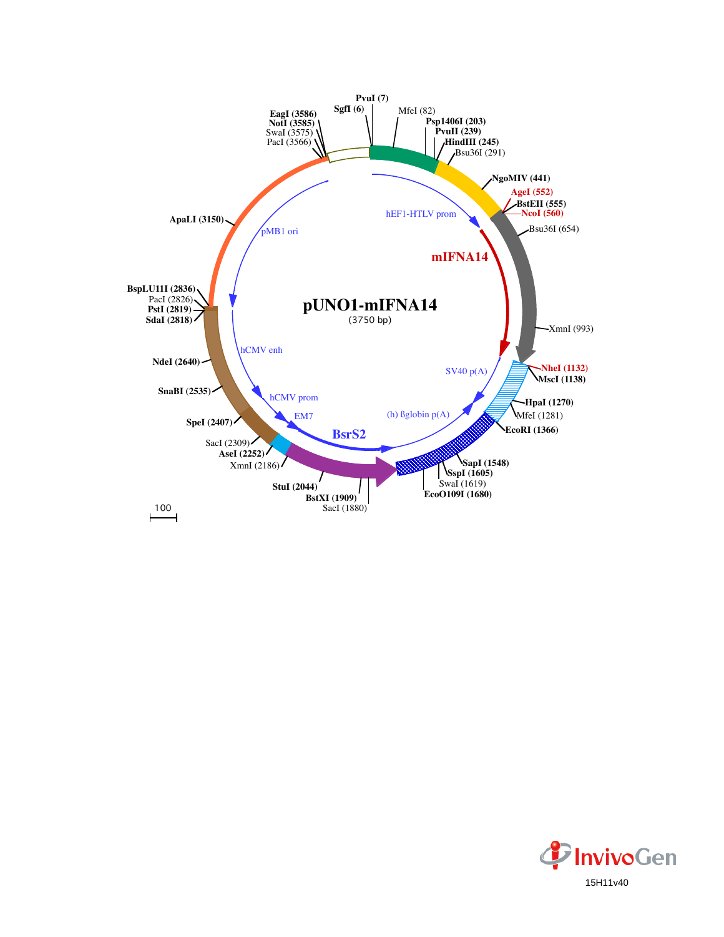

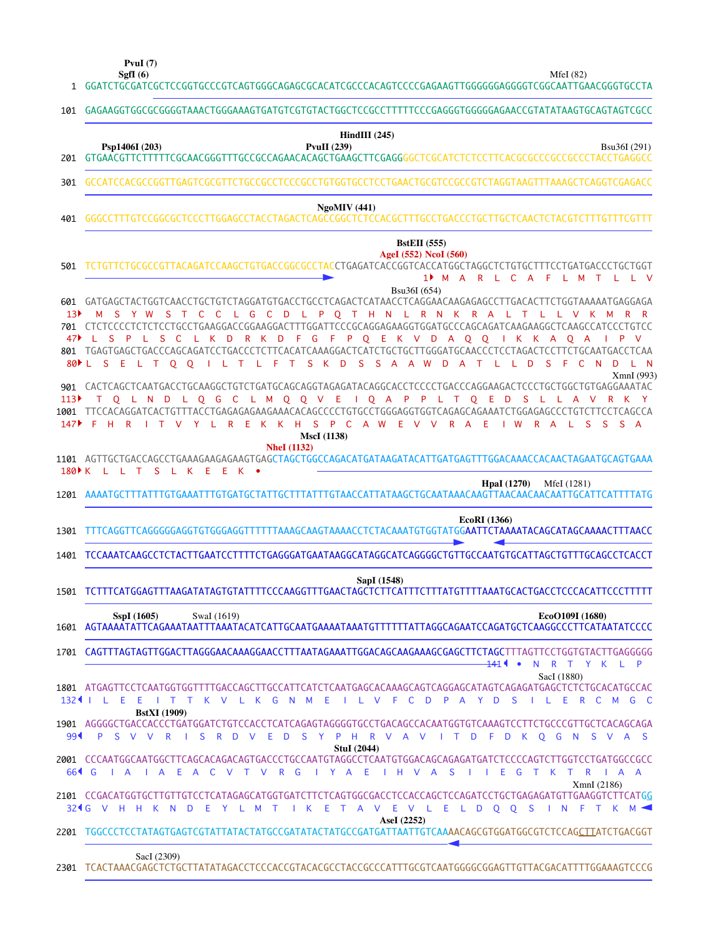**SgfI (6) PvuI (7)**

|                         | $f$ vul $(1)$<br>SgfI $(6)$<br>MfeI $(82)$<br>1 GGATCTGCGATCGCTCCGGTGCCCGTCAGTGGGCAGAGCGCACATCGCCCACAGTCCCCGAGAAGTTGGGGGGAGGGTCGGCAATTGAACGGGTGCCTA                                                                                                                                                                                                                                                                                                                                                                                                                                                                                                                                               |
|-------------------------|---------------------------------------------------------------------------------------------------------------------------------------------------------------------------------------------------------------------------------------------------------------------------------------------------------------------------------------------------------------------------------------------------------------------------------------------------------------------------------------------------------------------------------------------------------------------------------------------------------------------------------------------------------------------------------------------------|
| 101                     | GAGAAGGTGGCGCGGGGTAAACTGGGAAAGTGATGTCGTGTACTGGCTCCGCCTTTTTCCCGAGGGTGGGGGAGAACCGTATATAAGTGCAGTAGTCGCC                                                                                                                                                                                                                                                                                                                                                                                                                                                                                                                                                                                              |
|                         | HindIII $(245)$<br><b>PvuII</b> (239)<br>Psp1406I (203)<br>Bsu36I (291)                                                                                                                                                                                                                                                                                                                                                                                                                                                                                                                                                                                                                           |
|                         | 301 GCCATCCACGCCGGTTGAGTCGCGTTCTGCCGCCTCCCGCCTGTGGTGCCTCCTGAACTGCGTCCGCCGTCTAGGTAAGTTTAAAGCTCAGGTCGAGACC                                                                                                                                                                                                                                                                                                                                                                                                                                                                                                                                                                                          |
| 401                     | <b>NgoMIV</b> (441)                                                                                                                                                                                                                                                                                                                                                                                                                                                                                                                                                                                                                                                                               |
| 501                     | <b>BstEII</b> (555)<br>AgeI (552) NcoI (560)<br>TCTGTTCTGCCCGTTACAGATCCAAGCTGTGACCGGCGCCTACCTGAGATCACCGGTCACCATGGCTAGGCTCTGTGCTTTCCTGATGACCCTGCTGGT<br>1 <sup>M</sup> A R L C A F L M T L L<br>$\vee$<br>Bsu36I (654)                                                                                                                                                                                                                                                                                                                                                                                                                                                                             |
| 13 <sup>3</sup><br>47▶  | 601 GATGAGCTACTGGTCAACCTGCTGTCTAGGATGTGACCTGCCTCAGACTCATAACCTCAGGAACAAGAGAGCCTTGACACTTCTGGTAAAAATGAGGAGA<br>M S Y W S T C C L G C D L P O T H N L R N K R A L T L L V K M<br>701 CTCTCCCCTCTCTCCTGCCTGAAGGACCGGAAGGACTTTGGATTCCCGCAGGAGAAGGTGGATGCCCAGCAGATCAAGAAGGCTCAAGCCATCCCTGTCC<br>L S P L<br>S C<br>L K<br>$\mathsf{D}$<br>R K D F G F P Q E<br>K V D A O O I K<br>$\mathsf{V}$<br>K A O A<br>$\blacksquare$<br>801 TGAGTGAGCTGACCCAGCAGATCCTGACCCTCTTCACATCAAAGGACTCATCTGCTGCTTGGGATGCAACCCTCCTAGACTCCTTCTGCAATGACCTCAA<br>80 LSELTO O I LT LFT SKD<br>- S<br>- D<br><sup>S</sup><br>- F<br>C N D<br>- S<br>$\overline{A}$<br>A W<br>D A<br>T<br>$\mathbf{L}$<br>- L<br>- N<br>XmnI (993) |
| 113 <sup>2</sup><br>147 | T Q L N D L Q G C L M Q Q V E I Q A P P L T Q E D<br>R K Y<br>S L L A V<br>1001 TTCCACAGGATCACTGTTTACCTGAGAGAGAAGAAACACAGCCCCTGTGCCTGGGAGGTGGTCAGAGCAGAAATCTGGAGAGCCCTGTCTTCCTCAGCCA<br>F H R I T V Y L R E<br>S P C A W E V V R A E<br>K K H<br>$\mathsf{I}$ W<br>$R$ $A$<br>- S<br>S S A<br>- L.                                                                                                                                                                                                                                                                                                                                                                                                |
|                         | <b>MscI</b> (1138)<br><b>NheI</b> (1132)<br>1101 AGTTGCTGACCAGCCTGAAAGAAGAGAAGTGAGCTAGCTGGCCAGACATGATAAGATACATTGATGAGTTTGGACAAACCACAACTAGAATGCAGTGAAA<br>180 K L L T S L K E E K .                                                                                                                                                                                                                                                                                                                                                                                                                                                                                                                |
|                         | <b>HpaI</b> (1270)<br>MfeI (1281)                                                                                                                                                                                                                                                                                                                                                                                                                                                                                                                                                                                                                                                                 |
| 1301                    | EcoRI (1366)<br>TTTCAGGTTCAGGGGGAGGTGTGGGAGGTTTTTTTAAAGCAAGTAAAACCTCTACAAATGTGGTATGG <b>AATTCTAAAATACAGCATAGCAAAACTTTAACC</b>                                                                                                                                                                                                                                                                                                                                                                                                                                                                                                                                                                     |
|                         | 1401 TCCAAATCAAGCCTCTACTTGAATCCTTTTCTGAGGGATGAATAAGGCATAGGCATCAGGGGCTGTTGCCAATGTGCATTAGCTGTTTGCAGCCTCACCT                                                                                                                                                                                                                                                                                                                                                                                                                                                                                                                                                                                         |
|                         | SapI (1548)<br>1501 TCTTTCATGGAGTTTAAGATATAGTGTATTTTCCCAAGGTTTGAACTAGCTCTTCATTTCTTTATGTTTTAAATGCACTGACCTCCCACATTCCCTTTTT                                                                                                                                                                                                                                                                                                                                                                                                                                                                                                                                                                          |
|                         | SspI (1605)<br>EcoO109I (1680)<br>SwaI (1619)                                                                                                                                                                                                                                                                                                                                                                                                                                                                                                                                                                                                                                                     |
|                         | 1701 CAGTTTAGTAGTTGGACTTAGGGAACAAAGGAACCTTTAATAGAAATTGGACAGCAAGAAAGCGAGCTTCTAGCTTTAGTTCCTGGTGTACTTGAGGGGG<br>Y K L P                                                                                                                                                                                                                                                                                                                                                                                                                                                                                                                                                                              |
| $132$ 1                 | 141 1<br>$\mathsf{R}$<br>$\bullet$<br>N<br>$\top$<br>SacI (1880)<br>1801 ATGAGTTCCTCAATGGTGGTTTTGACCAGCTTGCCATTCATCTCAATGAGCACAAAGCAGTCAGGAGCATAGTCAGAGATGAGCTCTCTGCACATGCCAC<br>T T K V L K G N M E<br>ILVFCD<br>- S<br>L E R C M G C<br>Ε<br>Ε<br>P A Y D<br>$\mathbf{I}$                                                                                                                                                                                                                                                                                                                                                                                                                       |
| $99 -$                  | <b>BstXI</b> (1909)<br>1901 AGGGGCTGACCACCCTGATGGATCTGTCCACCTCATCAGAGTAGGGGTGCCTGACAGCCACAATGGTGTCAAAGTCCTTCTGCCCGTTGCTCACAGCAGA<br>V V R I<br>S.<br>S Y<br>P H R V A V<br>D<br>P<br><sub>S</sub><br>R<br>D<br>-E<br><b>D</b><br>$\blacksquare$<br>F D<br>K Q G N<br>S V A S<br>V<br><b>StuI</b> (2044)                                                                                                                                                                                                                                                                                                                                                                                           |
| $664$ G                 | 2001 CCCAATGGCAATGGCTTCAGCACAGACAGTGACCCTGCCAATGTAGGCCTCAATGTGGACAGCAGAGATGATCTCCCCAGTCTTGGTCCTGATGGCCGCC<br>I A E A C<br>IYA EIHVA<br>R<br>$A \cap A$<br>$\overline{A}$<br>$\top$<br>V<br>R G<br><b>S</b><br>E.<br>G<br>T<br>K<br>$\top$<br>- V<br>$\mathbf{L}$<br>a sa T<br>XmnI (2186)                                                                                                                                                                                                                                                                                                                                                                                                         |
|                         | 2101 CCGACATGGTGCTTGTTGTCCTCATAGAGCATGGTGATCTTCTCAGTGGCGACCTCCACCAGCTCCAGATCCTGCTGAGAGATGTTGAAGGTCTTCATG <u>G</u><br>Ε<br>K E<br>V L E L D Q Q S<br>324 G V H H<br>K N<br>- D<br>YL<br>M<br>T<br>$\mathbf{1}$<br>$\top$<br>A<br>$\vee$<br>Ε<br>INF<br>T K M <                                                                                                                                                                                                                                                                                                                                                                                                                                     |
|                         | AseI (2252)<br>2201 TGGCCCTCCTATAGTGAGTCGTATTATACTATGCCGATATACTATGCCGATGATTAATTGTCAAAACAGCGTGGATGGCGTCTCCAGCITATCTGACGGT                                                                                                                                                                                                                                                                                                                                                                                                                                                                                                                                                                          |
|                         | SacI (2309)<br>2301 TCACTAAACGAGCTCTGCTTATATAGACCTCCCACCGTACACGCCTACCGCCCATTTGCGTCAATGGGGCGGAGTTGTTACGACATTTTGGAAAGTCCCG                                                                                                                                                                                                                                                                                                                                                                                                                                                                                                                                                                          |